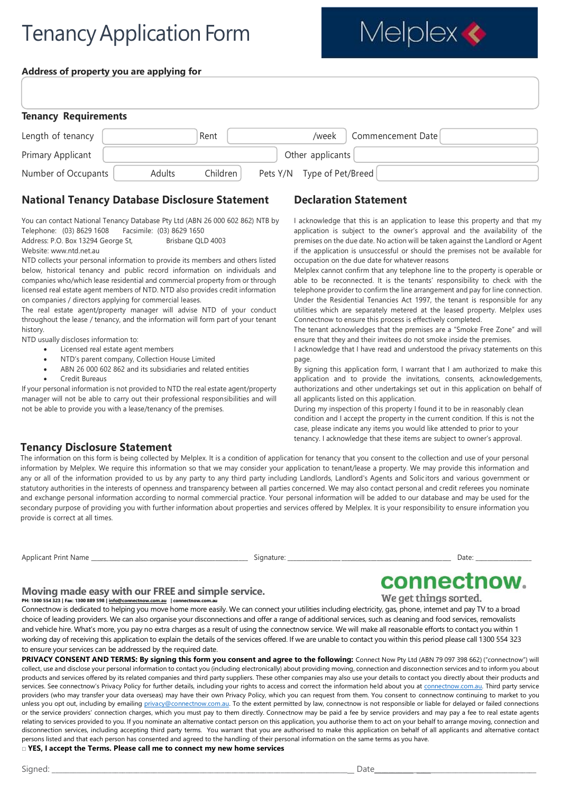# **Tenancy Application Form**

Melplex <

#### **Address of property you are applying for**

| <b>Tenancy Requirements</b> |        |          |                            |                   |
|-----------------------------|--------|----------|----------------------------|-------------------|
| Length of tenancy           |        | Rent     | /week                      | Commencement Date |
| Primary Applicant           |        |          | Other applicants           |                   |
| Number of Occupants         | Adults | Children | Pets Y/N Type of Pet/Breed |                   |

#### **National Tenancy Database Disclosure Statement**

You can contact National Tenancy Database Pty Ltd (ABN 26 000 602 862) NTB by Telephone: (03) 8629 1608 Facsimile: (03) 8629 1650

Address: P.O. Box 13294 George St, Brisbane QLD 4003

Website: [www.ntd.net.au](http://www.ntd.net.au/)

NTD collects your personal information to provide its members and others listed below, historical tenancy and public record information on individuals and companies who/which lease residential and commercial property from or through licensed real estate agent members of NTD. NTD also provides credit information on companies / directors applying for commercial leases.

The real estate agent/property manager will advise NTD of your conduct throughout the lease / tenancy, and the information will form part of your tenant history.

NTD usually discloses information to:

- Licensed real estate agent members
- NTD's parent company, Collection House Limited
- ABN 26 000 602 862 and its subsidiaries and related entities
- Credit Bureaus

If your personal information is not provided to NTD the real estate agent/property manager will not be able to carry out their professional responsibilities and will not be able to provide you with a lease/tenancy of the premises.

### **Declaration Statement**

I acknowledge that this is an application to lease this property and that my application is subject to the owner's approval and the availability of the premises on the due date. No action will be taken against the Landlord or Agent if the application is unsuccessful or should the premises not be available for occupation on the due date for whatever reasons

Melplex cannot confirm that any telephone line to the property is operable or able to be reconnected. It is the tenants' responsibility to check with the telephone provider to confirm the line arrangement and pay for line connection. Under the Residential Tenancies Act 1997, the tenant is responsible for any utilities which are separately metered at the leased property. Melplex uses Connectnow to ensure this process is effectively completed.

The tenant acknowledges that the premises are a "Smoke Free Zone" and will ensure that they and their invitees do not smoke inside the premises.

I acknowledge that I have read and understood the privacy statements on this page.

By signing this application form, I warrant that I am authorized to make this application and to provide the invitations, consents, acknowledgements, authorizations and other undertakings set out in this application on behalf of all applicants listed on this application.

During my inspection of this property I found it to be in reasonably clean condition and I accept the property in the current condition. If this is not the case, please indicate any items you would like attended to prior to your tenancy. I acknowledge that these items are subject to owner's approval.

#### **Tenancy Disclosure Statement**

The information on this form is being collected by Melplex. It is a condition of application for tenancy that you consent to the collection and use of your personal information by Melplex. We require this information so that we may consider your application to tenant/lease a property. We may provide this information and any or all of the information provided to us by any party to any third party including Landlords, Landlord's Agents and Solicitors and various government or statutory authorities in the interests of openness and transparency between all parties concerned. We may also contact personal and credit referees you nominate and exchange personal information according to normal commercial practice. Your personal information will be added to our database and may be used for the secondary purpose of providing you with further information about properties and services offered by Melplex. It is your responsibility to ensure information you provide is correct at all times.

| Applicant<br><b>Print Name</b> | ıqnature <sup>.</sup> | Date |  |
|--------------------------------|-----------------------|------|--|
|                                |                       |      |  |

connectnow.

We get things sorted.

#### **Moving made easy with our FREE and simple service. PH: 1300 554 323 | Fax: 1300 889 598 [| info@connectnow.com.au](mailto:info@connectnow.com.au) | connectnow.com.au**

Connectnow is dedicated to helping you move home more easily. We can connect your utilities including electricity, gas, phone, internet and pay TV to a broad choice of leading providers. We can also organise your disconnections and offer a range of additional services, such as cleaning and food services, removalists and vehicle hire. What's more, you pay no extra charges as a result of using the connectnow service. We will make all reasonable efforts to contact you within 1 working day of receiving this application to explain the details of the services offered. If we are unable to contact you within this period please call 1300 554 323 to ensure your services can be addressed by the required date.

**PRIVACY CONSENT AND TERMS: By signing this form you consent and agree to the following: Connect Now Pty Ltd (ABN 79 097 398 662) ("connectnow") will** collect, use and disclose your personal information to contact you (including electronically) about providing moving, connection and disconnection services and to inform you about products and services offered by its related companies and third party suppliers. These other companies may also use your details to contact you directly about their products and services. See connectnow's Privacy Policy for further details, including your rights to access and correct the information held about you a[t connectnow.com.au.](http://www.connectnow.com.au/) Third party service providers (who may transfer your data overseas) may have their own Privacy Policy, which you can request from them. You consent to connectnow continuing to market to you unless you opt out, including by emailing [privacy@connectnow.com.au.](mailto:privacy@connectnow.com.au) To the extent permitted by law, connectnow is not responsible or liable for delayed or failed connections or the service providers' connection charges, which you must pay to them directly. Connectnow may be paid a fee by service providers and may pay a fee to real estate agents relating to services provided to you. If you nominate an alternative contact person on this application, you authorise them to act on your behalf to arrange moving, connection and disconnection services, including accepting third party terms. You warrant that you are authorised to make this application on behalf of all applicants and alternative contact persons listed and that each person has consented and agreed to the handling of their personal information on the same terms as you have.

#### □ **YES, I accept the Terms. Please call me to connect my new home services**